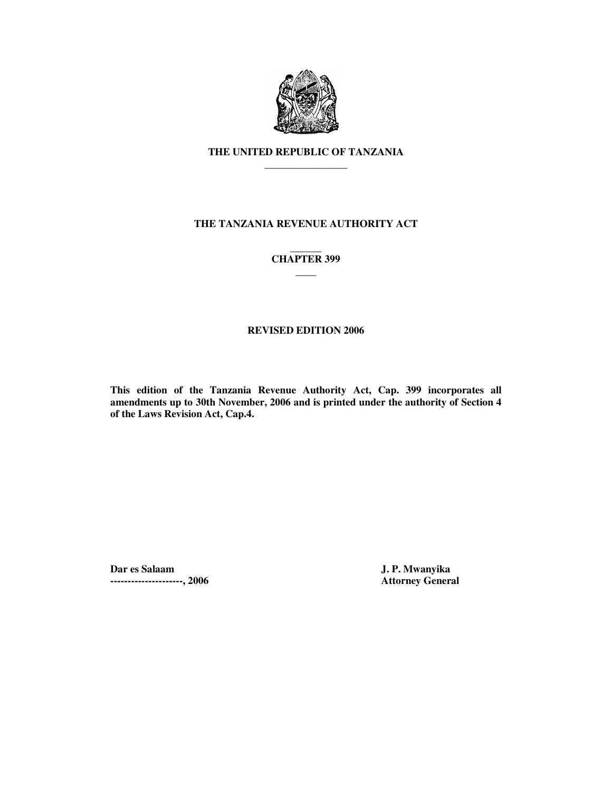

# **THE UNITED REPUBLIC OF TANZANIA \_\_\_\_\_\_\_\_\_\_\_\_\_\_\_\_**

# **THE TANZANIA REVENUE AUTHORITY ACT**

### **\_\_\_\_\_\_ CHAPTER 399 \_\_\_\_**

## **REVISED EDITION 2006**

**This edition of the Tanzania Revenue Authority Act, Cap. 399 incorporates all amendments up to 30th November, 2006 and is printed under the authority of Section 4 of the Laws Revision Act, Cap.4.** 

**Dar es Salaam J. P. Mwanyika ---------------------, 2006 Attorney General**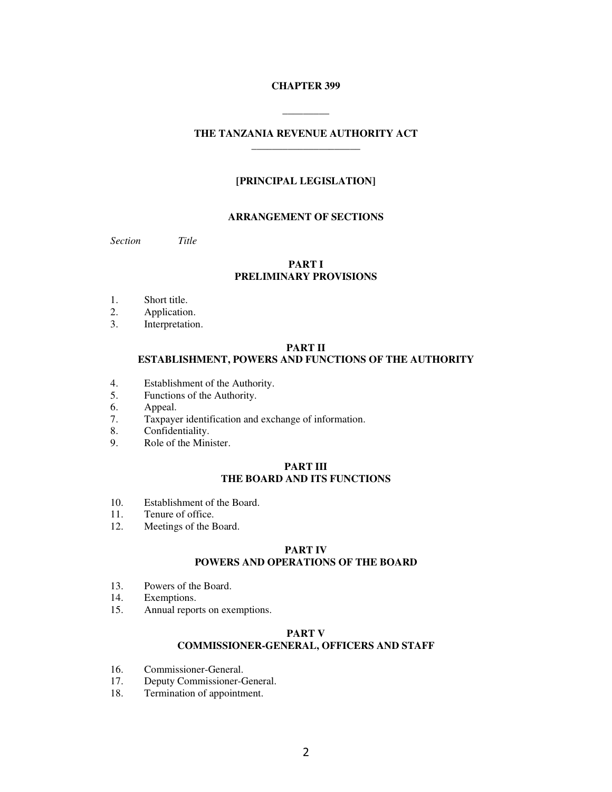## **CHAPTER 399**

**\_\_\_\_\_\_\_\_\_** 

## **THE TANZANIA REVENUE AUTHORITY ACT \_\_\_\_\_\_\_\_\_\_\_\_\_\_\_\_\_\_\_\_\_**

## **[PRINCIPAL LEGISLATION]**

## **ARRANGEMENT OF SECTIONS**

*Section Title* 

## **PART I PRELIMINARY PROVISIONS**

- 1. Short title.
- 2. Application.
- 3. Interpretation.

## **PART II ESTABLISHMENT, POWERS AND FUNCTIONS OF THE AUTHORITY**

- 4. Establishment of the Authority.<br>5. Functions of the Authority.
- 5. Functions of the Authority.<br>6. Appeal.
- Appeal.
- 7. Taxpayer identification and exchange of information.
- 8. Confidentiality.<br>9. Role of the Mini
- Role of the Minister.

## **PART III THE BOARD AND ITS FUNCTIONS**

- 10. Establishment of the Board.
- 11. Tenure of office.
- 12. Meetings of the Board.

## **PART IV POWERS AND OPERATIONS OF THE BOARD**

- 13. Powers of the Board.
- 14. Exemptions.
- 15. Annual reports on exemptions.

## **PART V COMMISSIONER-GENERAL, OFFICERS AND STAFF**

- 16. Commissioner-General.
- 17. Deputy Commissioner-General.<br>18. Termination of appointment.
- Termination of appointment.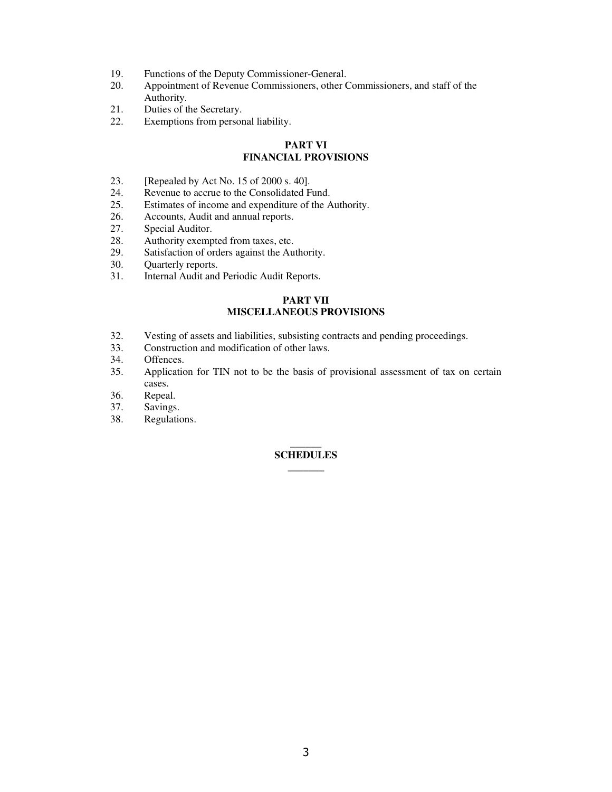- 19. Functions of the Deputy Commissioner-General.
- 20. Appointment of Revenue Commissioners, other Commissioners, and staff of the Authority.
- 21. Duties of the Secretary.
- 22. Exemptions from personal liability.

# **PART VI FINANCIAL PROVISIONS**

- 23. [Repealed by Act No. 15 of 2000 s. 40].
- 24. Revenue to accrue to the Consolidated Fund.<br>25. Estimates of income and expenditure of the A
- 25. Estimates of income and expenditure of the Authority.<br>26. Accounts. Audit and annual reports.
- Accounts, Audit and annual reports.
- 27. Special Auditor.
- 28. Authority exempted from taxes, etc.<br>29. Satisfaction of orders against the Au
- 29. Satisfaction of orders against the Authority.<br>30. Ouarterly reports.
- 30. Quarterly reports.<br>31. Internal Audit and
- Internal Audit and Periodic Audit Reports.

# **PART VII MISCELLANEOUS PROVISIONS**

- 32. Vesting of assets and liabilities, subsisting contracts and pending proceedings.<br>33. Construction and modification of other laws.
- Construction and modification of other laws.
- 34. Offences.<br>35. Application
- Application for TIN not to be the basis of provisional assessment of tax on certain cases.
- 36. Repeal.<br>37. Savings
- Savings.
- 38. Regulations.

### $\overline{\phantom{a}}$ **SCHEDULES \_\_\_\_\_\_\_**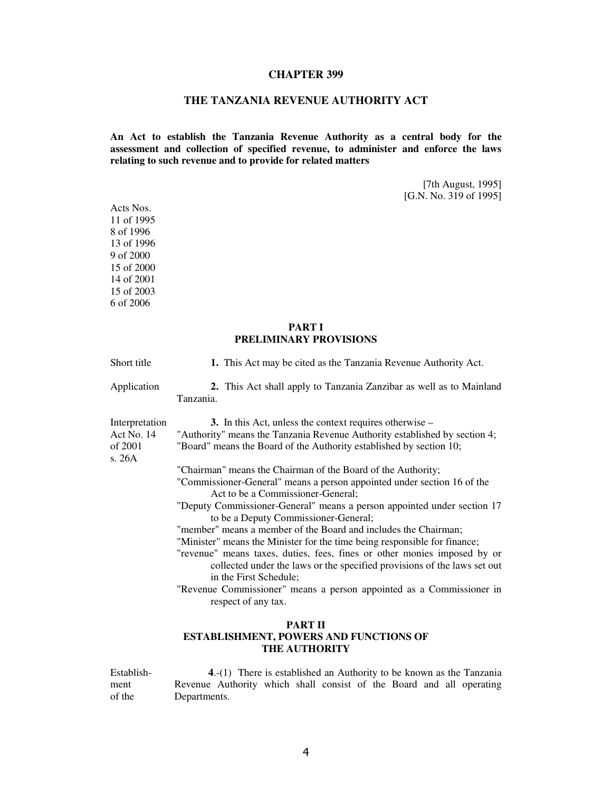### **CHAPTER 399**

## **THE TANZANIA REVENUE AUTHORITY ACT**

**An Act to establish the Tanzania Revenue Authority as a central body for the assessment and collection of specified revenue, to administer and enforce the laws relating to such revenue and to provide for related matters** 

> [7th August, 1995] [G.N. No. 319 of 1995]

## **PART I PRELIMINARY PROVISIONS**

| Short title                                       | 1. This Act may be cited as the Tanzania Revenue Authority Act.                                                                                                                                                                                             |
|---------------------------------------------------|-------------------------------------------------------------------------------------------------------------------------------------------------------------------------------------------------------------------------------------------------------------|
| Application                                       | 2. This Act shall apply to Tanzania Zanzibar as well as to Mainland<br>Tanzania.                                                                                                                                                                            |
| Interpretation<br>Act No. 14<br>of 2001<br>s. 26A | 3. In this Act, unless the context requires otherwise –<br>"Authority" means the Tanzania Revenue Authority established by section 4;<br>"Board" means the Board of the Authority established by section 10;                                                |
|                                                   | "Chairman" means the Chairman of the Board of the Authority;                                                                                                                                                                                                |
|                                                   | "Commissioner-General" means a person appointed under section 16 of the<br>Act to be a Commissioner-General;                                                                                                                                                |
|                                                   | "Deputy Commissioner-General" means a person appointed under section 17<br>to be a Deputy Commissioner-General;                                                                                                                                             |
|                                                   | "member" means a member of the Board and includes the Chairman;                                                                                                                                                                                             |
|                                                   | "Minister" means the Minister for the time being responsible for finance;<br>"revenue" means taxes, duties, fees, fines or other monies imposed by or<br>collected under the laws or the specified provisions of the laws set out<br>in the First Schedule; |
|                                                   | "Revenue Commissioner" means a person appointed as a Commissioner in<br>respect of any tax.                                                                                                                                                                 |
|                                                   | <b>PART II</b><br><b>ESTABLISHMENT, POWERS AND FUNCTIONS OF</b><br><b>THE AUTHORITY</b>                                                                                                                                                                     |

Establishment of the **4**.-(1) There is established an Authority to be known as the Tanzania Revenue Authority which shall consist of the Board and all operating Departments.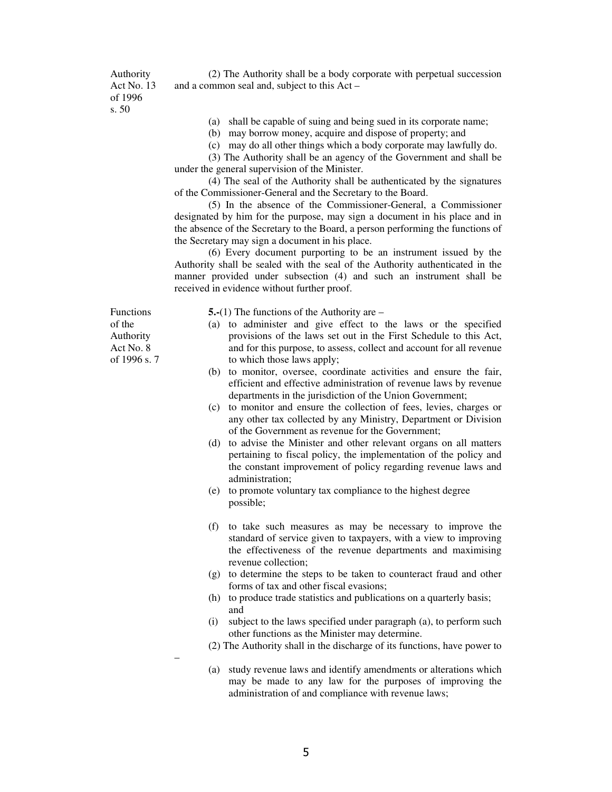Authority Act No. 13 of 1996 s. 50

 (2) The Authority shall be a body corporate with perpetual succession and a common seal and, subject to this Act –

- (a) shall be capable of suing and being sued in its corporate name;
- (b) may borrow money, acquire and dispose of property; and
- (c) may do all other things which a body corporate may lawfully do.

 (3) The Authority shall be an agency of the Government and shall be under the general supervision of the Minister.

 (4) The seal of the Authority shall be authenticated by the signatures of the Commissioner-General and the Secretary to the Board.

 (5) In the absence of the Commissioner-General, a Commissioner designated by him for the purpose, may sign a document in his place and in the absence of the Secretary to the Board, a person performing the functions of the Secretary may sign a document in his place.

 (6) Every document purporting to be an instrument issued by the Authority shall be sealed with the seal of the Authority authenticated in the manner provided under subsection (4) and such an instrument shall be received in evidence without further proof.

Functions of the Authority Act No. 8 of 1996 s. 7

–

**5.-**(1) The functions of the Authority are –

- (a) to administer and give effect to the laws or the specified provisions of the laws set out in the First Schedule to this Act, and for this purpose, to assess, collect and account for all revenue to which those laws apply;
- (b) to monitor, oversee, coordinate activities and ensure the fair, efficient and effective administration of revenue laws by revenue departments in the jurisdiction of the Union Government;
- (c) to monitor and ensure the collection of fees, levies, charges or any other tax collected by any Ministry, Department or Division of the Government as revenue for the Government;
- (d) to advise the Minister and other relevant organs on all matters pertaining to fiscal policy, the implementation of the policy and the constant improvement of policy regarding revenue laws and administration;
- (e) to promote voluntary tax compliance to the highest degree possible;
- (f) to take such measures as may be necessary to improve the standard of service given to taxpayers, with a view to improving the effectiveness of the revenue departments and maximising revenue collection;
- (g) to determine the steps to be taken to counteract fraud and other forms of tax and other fiscal evasions;
- (h) to produce trade statistics and publications on a quarterly basis; and
- (i) subject to the laws specified under paragraph (a), to perform such other functions as the Minister may determine.
- (2) The Authority shall in the discharge of its functions, have power to
- (a) study revenue laws and identify amendments or alterations which may be made to any law for the purposes of improving the administration of and compliance with revenue laws;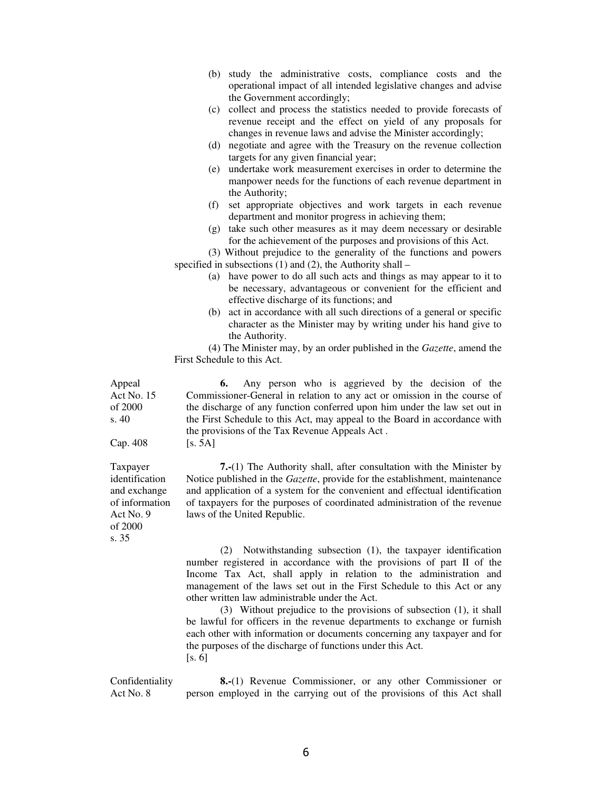- (b) study the administrative costs, compliance costs and the operational impact of all intended legislative changes and advise the Government accordingly;
- (c) collect and process the statistics needed to provide forecasts of revenue receipt and the effect on yield of any proposals for changes in revenue laws and advise the Minister accordingly;
- (d) negotiate and agree with the Treasury on the revenue collection targets for any given financial year;
- (e) undertake work measurement exercises in order to determine the manpower needs for the functions of each revenue department in the Authority;
- (f) set appropriate objectives and work targets in each revenue department and monitor progress in achieving them;
- (g) take such other measures as it may deem necessary or desirable for the achievement of the purposes and provisions of this Act.

 (3) Without prejudice to the generality of the functions and powers specified in subsections  $(1)$  and  $(2)$ , the Authority shall –

- (a) have power to do all such acts and things as may appear to it to be necessary, advantageous or convenient for the efficient and effective discharge of its functions; and
- (b) act in accordance with all such directions of a general or specific character as the Minister may by writing under his hand give to the Authority.

 (4) The Minister may, by an order published in the *Gazette*, amend the First Schedule to this Act.

Act No. 15 of 2000 **6.** Any person who is aggrieved by the decision of the Commissioner-General in relation to any act or omission in the course of the discharge of any function conferred upon him under the law set out in the First Schedule to this Act, may appeal to the Board in accordance with the provisions of the Tax Revenue Appeals Act .  $[s. 5A]$ 

> **7.-**(1) The Authority shall, after consultation with the Minister by Notice published in the *Gazette*, provide for the establishment, maintenance and application of a system for the convenient and effectual identification of taxpayers for the purposes of coordinated administration of the revenue laws of the United Republic.

 (2) Notwithstanding subsection (1), the taxpayer identification number registered in accordance with the provisions of part II of the Income Tax Act, shall apply in relation to the administration and management of the laws set out in the First Schedule to this Act or any other written law administrable under the Act.

 (3) Without prejudice to the provisions of subsection (1), it shall be lawful for officers in the revenue departments to exchange or furnish each other with information or documents concerning any taxpayer and for the purposes of the discharge of functions under this Act.  $[s, 6]$ 

Confidentiality Act No. 8 **8.-**(1) Revenue Commissioner, or any other Commissioner or person employed in the carrying out of the provisions of this Act shall

Cap. 408 Taxpayer identification and exchange of information Act No. 9 of 2000

Appeal

s. 40

s. 35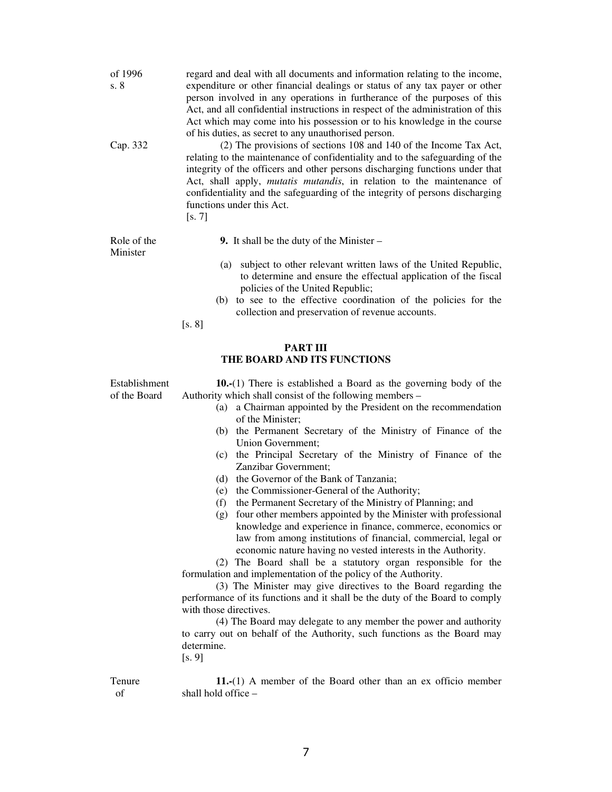| of 1996<br>s. 8<br>Cap. 332   | regard and deal with all documents and information relating to the income,<br>expenditure or other financial dealings or status of any tax payer or other<br>person involved in any operations in furtherance of the purposes of this<br>Act, and all confidential instructions in respect of the administration of this<br>Act which may come into his possession or to his knowledge in the course<br>of his duties, as secret to any unauthorised person.<br>(2) The provisions of sections 108 and 140 of the Income Tax Act,<br>relating to the maintenance of confidentiality and to the safeguarding of the<br>integrity of the officers and other persons discharging functions under that<br>Act, shall apply, mutatis mutandis, in relation to the maintenance of<br>confidentiality and the safeguarding of the integrity of persons discharging<br>functions under this Act.<br>[s. 7]                                                                                                                                                                                                                                                                                                                                                                                                                                                   |
|-------------------------------|------------------------------------------------------------------------------------------------------------------------------------------------------------------------------------------------------------------------------------------------------------------------------------------------------------------------------------------------------------------------------------------------------------------------------------------------------------------------------------------------------------------------------------------------------------------------------------------------------------------------------------------------------------------------------------------------------------------------------------------------------------------------------------------------------------------------------------------------------------------------------------------------------------------------------------------------------------------------------------------------------------------------------------------------------------------------------------------------------------------------------------------------------------------------------------------------------------------------------------------------------------------------------------------------------------------------------------------------------|
| Role of the<br>Minister       | 9. It shall be the duty of the Minister $-$<br>subject to other relevant written laws of the United Republic,<br>(a)<br>to determine and ensure the effectual application of the fiscal<br>policies of the United Republic;<br>to see to the effective coordination of the policies for the<br>(b)<br>collection and preservation of revenue accounts.<br>[s. 8]                                                                                                                                                                                                                                                                                                                                                                                                                                                                                                                                                                                                                                                                                                                                                                                                                                                                                                                                                                                     |
|                               | <b>PART III</b><br>THE BOARD AND ITS FUNCTIONS                                                                                                                                                                                                                                                                                                                                                                                                                                                                                                                                                                                                                                                                                                                                                                                                                                                                                                                                                                                                                                                                                                                                                                                                                                                                                                       |
| Establishment<br>of the Board | <b>10.-</b> (1) There is established a Board as the governing body of the<br>Authority which shall consist of the following members –<br>a Chairman appointed by the President on the recommendation<br>(a)<br>of the Minister;<br>(b) the Permanent Secretary of the Ministry of Finance of the<br>Union Government;<br>the Principal Secretary of the Ministry of Finance of the<br>(c)<br>Zanzibar Government;<br>(d) the Governor of the Bank of Tanzania;<br>the Commissioner-General of the Authority;<br>(e)<br>the Permanent Secretary of the Ministry of Planning; and<br>(f)<br>(g) four other members appointed by the Minister with professional<br>knowledge and experience in finance, commerce, economics or<br>law from among institutions of financial, commercial, legal or<br>economic nature having no vested interests in the Authority.<br>(2) The Board shall be a statutory organ responsible for the<br>formulation and implementation of the policy of the Authority.<br>(3) The Minister may give directives to the Board regarding the<br>performance of its functions and it shall be the duty of the Board to comply<br>with those directives.<br>(4) The Board may delegate to any member the power and authority<br>to carry out on behalf of the Authority, such functions as the Board may<br>determine.<br>[s, 9] |
| Tenure<br>of                  | $11.-(1)$ A member of the Board other than an ex officio member<br>shall hold office -                                                                                                                                                                                                                                                                                                                                                                                                                                                                                                                                                                                                                                                                                                                                                                                                                                                                                                                                                                                                                                                                                                                                                                                                                                                               |

7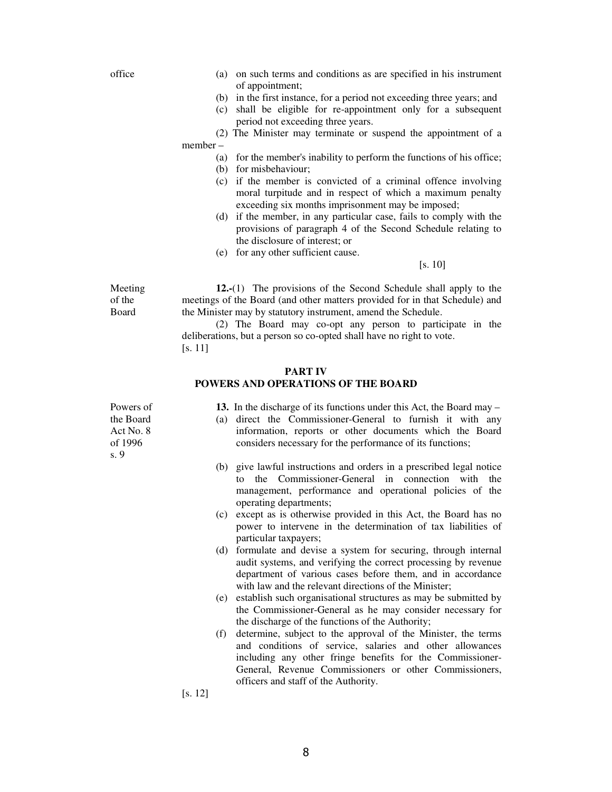office (a) on such terms and conditions as are specified in his instrument of appointment;

- (b) in the first instance, for a period not exceeding three years; and
- (c) shall be eligible for re-appointment only for a subsequent period not exceeding three years.

 (2) The Minister may terminate or suspend the appointment of a member –

#### (a) for the member's inability to perform the functions of his office;

- (b) for misbehaviour;
- (c) if the member is convicted of a criminal offence involving moral turpitude and in respect of which a maximum penalty exceeding six months imprisonment may be imposed;
- (d) if the member, in any particular case, fails to comply with the provisions of paragraph 4 of the Second Schedule relating to the disclosure of interest; or
- (e) for any other sufficient cause.

[s. 10]

**12.-**(1) The provisions of the Second Schedule shall apply to the meetings of the Board (and other matters provided for in that Schedule) and the Minister may by statutory instrument, amend the Schedule.

 (2) The Board may co-opt any person to participate in the deliberations, but a person so co-opted shall have no right to vote. [s. 11]

#### **PART IV POWERS AND OPERATIONS OF THE BOARD**

 **13.** In the discharge of its functions under this Act, the Board may –

- (a) direct the Commissioner-General to furnish it with any information, reports or other documents which the Board considers necessary for the performance of its functions;
- (b) give lawful instructions and orders in a prescribed legal notice to the Commissioner-General in connection with the management, performance and operational policies of the operating departments;
- (c) except as is otherwise provided in this Act, the Board has no power to intervene in the determination of tax liabilities of particular taxpayers;
- (d) formulate and devise a system for securing, through internal audit systems, and verifying the correct processing by revenue department of various cases before them, and in accordance with law and the relevant directions of the Minister;
- (e) establish such organisational structures as may be submitted by the Commissioner-General as he may consider necessary for the discharge of the functions of the Authority;
- (f) determine, subject to the approval of the Minister, the terms and conditions of service, salaries and other allowances including any other fringe benefits for the Commissioner-General, Revenue Commissioners or other Commissioners, officers and staff of the Authority.

[s. 12]

Powers of the Board Act No. 8 of 1996 s. 9

Meeting of the Board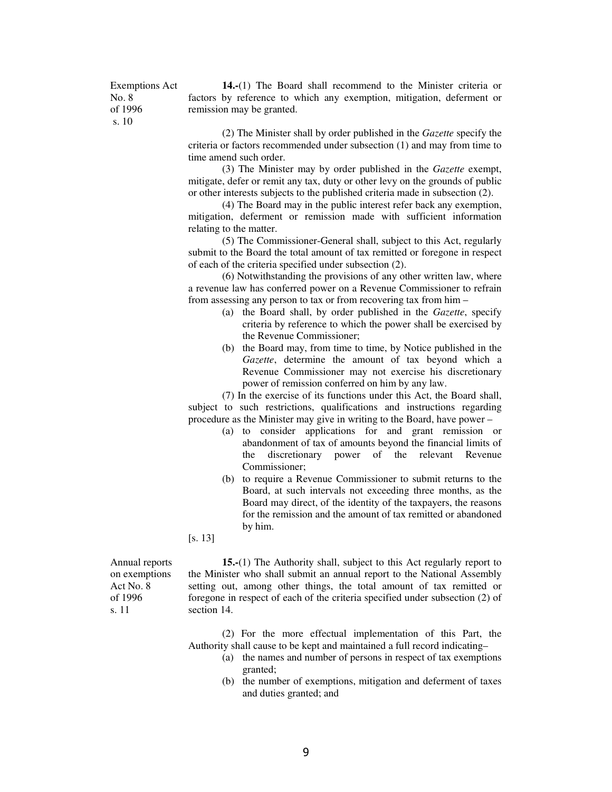Exemptions Act No. 8 of 1996 s. 10

**14.-**(1) The Board shall recommend to the Minister criteria or factors by reference to which any exemption, mitigation, deferment or remission may be granted.

 (2) The Minister shall by order published in the *Gazette* specify the criteria or factors recommended under subsection (1) and may from time to time amend such order.

 (3) The Minister may by order published in the *Gazette* exempt, mitigate, defer or remit any tax, duty or other levy on the grounds of public or other interests subjects to the published criteria made in subsection (2).

 (4) The Board may in the public interest refer back any exemption, mitigation, deferment or remission made with sufficient information relating to the matter.

 (5) The Commissioner-General shall, subject to this Act, regularly submit to the Board the total amount of tax remitted or foregone in respect of each of the criteria specified under subsection (2).

 (6) Notwithstanding the provisions of any other written law, where a revenue law has conferred power on a Revenue Commissioner to refrain from assessing any person to tax or from recovering tax from him –

- (a) the Board shall, by order published in the *Gazette*, specify criteria by reference to which the power shall be exercised by the Revenue Commissioner;
- (b) the Board may, from time to time, by Notice published in the *Gazette*, determine the amount of tax beyond which a Revenue Commissioner may not exercise his discretionary power of remission conferred on him by any law.

 (7) In the exercise of its functions under this Act, the Board shall, subject to such restrictions, qualifications and instructions regarding procedure as the Minister may give in writing to the Board, have power –

- (a) to consider applications for and grant remission or abandonment of tax of amounts beyond the financial limits of the discretionary power of the relevant Revenue Commissioner;
- (b) to require a Revenue Commissioner to submit returns to the Board, at such intervals not exceeding three months, as the Board may direct, of the identity of the taxpayers, the reasons for the remission and the amount of tax remitted or abandoned by him.

[s. 13]

Annual reports on exemptions Act No. 8 of 1996 s. 11

**15.-**(1) The Authority shall, subject to this Act regularly report to the Minister who shall submit an annual report to the National Assembly setting out, among other things, the total amount of tax remitted or foregone in respect of each of the criteria specified under subsection (2) of section 14.

 (2) For the more effectual implementation of this Part, the Authority shall cause to be kept and maintained a full record indicating–

- (a) the names and number of persons in respect of tax exemptions granted;
- (b) the number of exemptions, mitigation and deferment of taxes and duties granted; and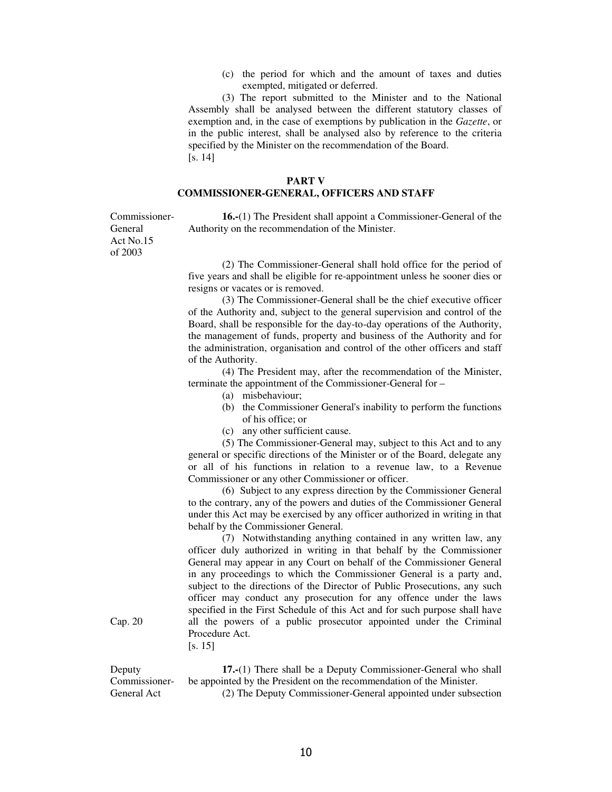(c) the period for which and the amount of taxes and duties exempted, mitigated or deferred.

 (3) The report submitted to the Minister and to the National Assembly shall be analysed between the different statutory classes of exemption and, in the case of exemptions by publication in the *Gazette*, or in the public interest, shall be analysed also by reference to the criteria specified by the Minister on the recommendation of the Board. [s. 14]

## **PART V COMMISSIONER-GENERAL, OFFICERS AND STAFF**

Commissioner-General Act No.15 of 2003

**16.-**(1) The President shall appoint a Commissioner-General of the Authority on the recommendation of the Minister.

 (2) The Commissioner-General shall hold office for the period of five years and shall be eligible for re-appointment unless he sooner dies or resigns or vacates or is removed.

 (3) The Commissioner-General shall be the chief executive officer of the Authority and, subject to the general supervision and control of the Board, shall be responsible for the day-to-day operations of the Authority, the management of funds, property and business of the Authority and for the administration, organisation and control of the other officers and staff of the Authority.

 (4) The President may, after the recommendation of the Minister, terminate the appointment of the Commissioner-General for –

- (a) misbehaviour;
- (b) the Commissioner General's inability to perform the functions of his office; or
- (c) any other sufficient cause.

 (5) The Commissioner-General may, subject to this Act and to any general or specific directions of the Minister or of the Board, delegate any or all of his functions in relation to a revenue law, to a Revenue Commissioner or any other Commissioner or officer.

 (6) Subject to any express direction by the Commissioner General to the contrary, any of the powers and duties of the Commissioner General under this Act may be exercised by any officer authorized in writing in that behalf by the Commissioner General.

 (7) Notwithstanding anything contained in any written law, any officer duly authorized in writing in that behalf by the Commissioner General may appear in any Court on behalf of the Commissioner General in any proceedings to which the Commissioner General is a party and, subject to the directions of the Director of Public Prosecutions, any such officer may conduct any prosecution for any offence under the laws specified in the First Schedule of this Act and for such purpose shall have all the powers of a public prosecutor appointed under the Criminal Procedure Act.

[s. 15]

Deputy Commissioner-General Act **17.-**(1) There shall be a Deputy Commissioner-General who shall be appointed by the President on the recommendation of the Minister. (2) The Deputy Commissioner-General appointed under subsection

Cap. 20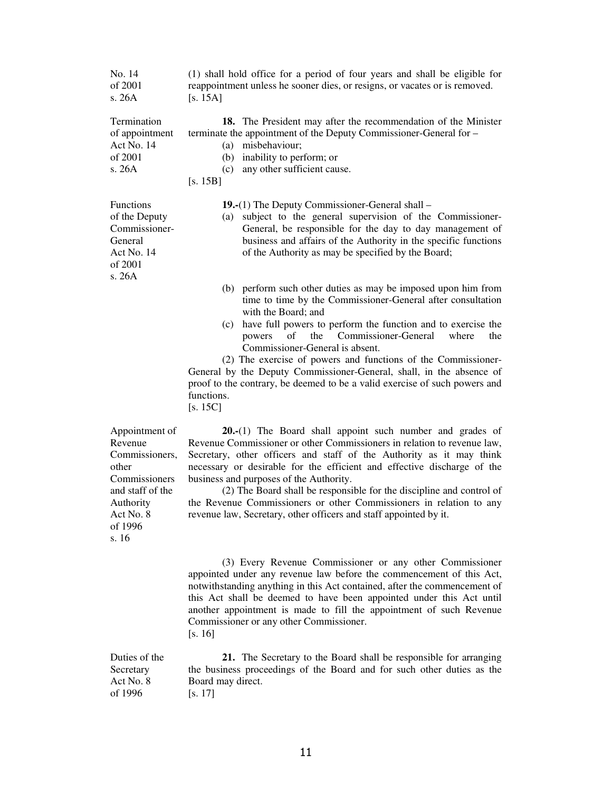| No. 14<br>of 2001<br>s. 26A                                                                                                             | (1) shall hold office for a period of four years and shall be eligible for<br>reappointment unless he sooner dies, or resigns, or vacates or is removed.<br>[s. $15A$ ]                                                                                                                                                                                                                                                                                                                                                                                                       |
|-----------------------------------------------------------------------------------------------------------------------------------------|-------------------------------------------------------------------------------------------------------------------------------------------------------------------------------------------------------------------------------------------------------------------------------------------------------------------------------------------------------------------------------------------------------------------------------------------------------------------------------------------------------------------------------------------------------------------------------|
| Termination<br>of appointment<br>Act No. 14<br>of 2001<br>s. 26A                                                                        | 18. The President may after the recommendation of the Minister<br>terminate the appointment of the Deputy Commissioner-General for -<br>misbehaviour;<br>(a)<br>inability to perform; or<br>(b)<br>any other sufficient cause.<br>(c)<br>[s. 15B]                                                                                                                                                                                                                                                                                                                             |
| Functions<br>of the Deputy<br>Commissioner-<br>General<br>Act No. 14<br>of 2001<br>s. 26A                                               | <b>19.</b> -(1) The Deputy Commissioner-General shall –<br>subject to the general supervision of the Commissioner-<br>(a)<br>General, be responsible for the day to day management of<br>business and affairs of the Authority in the specific functions<br>of the Authority as may be specified by the Board;                                                                                                                                                                                                                                                                |
|                                                                                                                                         | (b) perform such other duties as may be imposed upon him from<br>time to time by the Commissioner-General after consultation<br>with the Board; and<br>have full powers to perform the function and to exercise the<br>(c)<br>Commissioner-General<br>of<br>the<br>powers<br>where<br>the<br>Commissioner-General is absent.<br>(2) The exercise of powers and functions of the Commissioner-<br>General by the Deputy Commissioner-General, shall, in the absence of<br>proof to the contrary, be deemed to be a valid exercise of such powers and<br>functions.<br>[s. 15C] |
| Appointment of<br>Revenue<br>Commissioners,<br>other<br>Commissioners<br>and staff of the<br>Authority<br>Act No. 8<br>of 1996<br>s. 16 | $20-(1)$ The Board shall appoint such number and grades of<br>Revenue Commissioner or other Commissioners in relation to revenue law,<br>Secretary, other officers and staff of the Authority as it may think<br>necessary or desirable for the efficient and effective discharge of the<br>business and purposes of the Authority.<br>(2) The Board shall be responsible for the discipline and control of<br>the Revenue Commissioners or other Commissioners in relation to any<br>revenue law, Secretary, other officers and staff appointed by it.                       |
|                                                                                                                                         | (3) Every Revenue Commissioner or any other Commissioner<br>appointed under any revenue law before the commencement of this Act,<br>notwithstanding anything in this Act contained, after the commencement of<br>this Act shall be deemed to have been appointed under this Act until<br>another appointment is made to fill the appointment of such Revenue<br>Commissioner or any other Commissioner.<br>[s. 16]                                                                                                                                                            |
| Duties of the<br>Secretary<br>Act No. 8<br>of 1996                                                                                      | 21. The Secretary to the Board shall be responsible for arranging<br>the business proceedings of the Board and for such other duties as the<br>Board may direct.<br>[s. 17]                                                                                                                                                                                                                                                                                                                                                                                                   |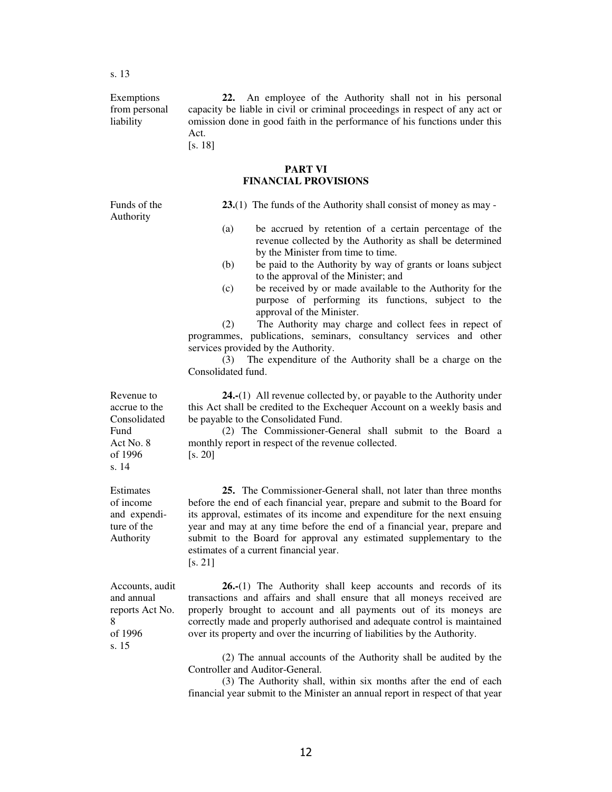Exemptions from personal liability

 **22.** An employee of the Authority shall not in his personal capacity be liable in civil or criminal proceedings in respect of any act or omission done in good faith in the performance of his functions under this Act.

[s. 18]

#### **PART VI FINANCIAL PROVISIONS**

Funds of the Authority

**23.**(1) The funds of the Authority shall consist of money as may -

- (a) be accrued by retention of a certain percentage of the revenue collected by the Authority as shall be determined by the Minister from time to time.
- (b) be paid to the Authority by way of grants or loans subject to the approval of the Minister; and
- (c) be received by or made available to the Authority for the purpose of performing its functions, subject to the approval of the Minister.

 (2) The Authority may charge and collect fees in repect of programmes, publications, seminars, consultancy services and other services provided by the Authority.

 (3) The expenditure of the Authority shall be a charge on the Consolidated fund.

**24.-**(1) All revenue collected by, or payable to the Authority under this Act shall be credited to the Exchequer Account on a weekly basis and be payable to the Consolidated Fund.

 (2) The Commissioner-General shall submit to the Board a monthly report in respect of the revenue collected. [s. 20]

**25.** The Commissioner-General shall, not later than three months before the end of each financial year, prepare and submit to the Board for its approval, estimates of its income and expenditure for the next ensuing year and may at any time before the end of a financial year, prepare and submit to the Board for approval any estimated supplementary to the estimates of a current financial year. [s. 21]

Accounts, audit and annual reports Act No. 8 of 1996 s. 15

**26.-**(1) The Authority shall keep accounts and records of its transactions and affairs and shall ensure that all moneys received are properly brought to account and all payments out of its moneys are correctly made and properly authorised and adequate control is maintained over its property and over the incurring of liabilities by the Authority.

 (2) The annual accounts of the Authority shall be audited by the Controller and Auditor-General.

 (3) The Authority shall, within six months after the end of each financial year submit to the Minister an annual report in respect of that year

Revenue to accrue to the Consolidated Fund Act No. 8 of 1996 s. 14

Estimates of income and expenditure of the Authority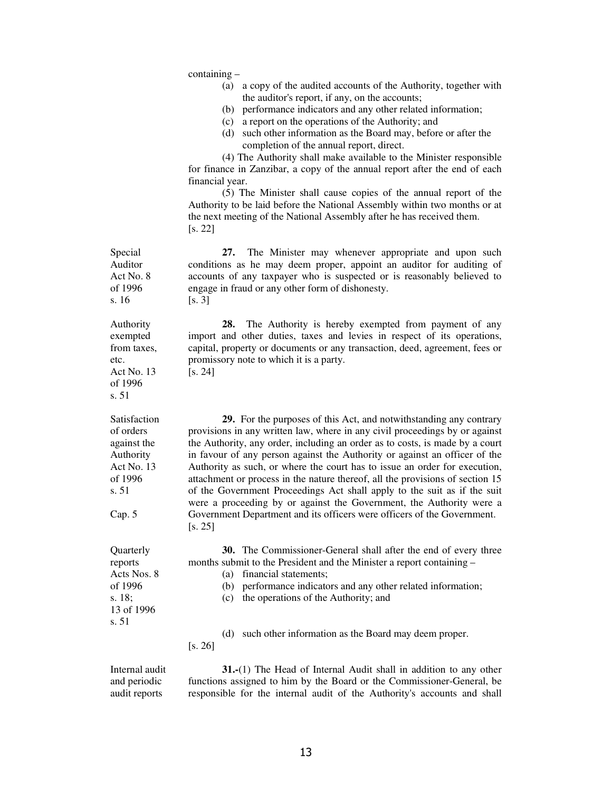|                                                                                                   | $containing -$<br>a copy of the audited accounts of the Authority, together with<br>(a)<br>the auditor's report, if any, on the accounts;<br>performance indicators and any other related information;<br>(b)<br>a report on the operations of the Authority; and<br>(c)<br>(d) such other information as the Board may, before or after the<br>completion of the annual report, direct.<br>(4) The Authority shall make available to the Minister responsible<br>for finance in Zanzibar, a copy of the annual report after the end of each<br>financial year.<br>(5) The Minister shall cause copies of the annual report of the<br>Authority to be laid before the National Assembly within two months or at<br>the next meeting of the National Assembly after he has received them.<br>[s. 22] |
|---------------------------------------------------------------------------------------------------|-----------------------------------------------------------------------------------------------------------------------------------------------------------------------------------------------------------------------------------------------------------------------------------------------------------------------------------------------------------------------------------------------------------------------------------------------------------------------------------------------------------------------------------------------------------------------------------------------------------------------------------------------------------------------------------------------------------------------------------------------------------------------------------------------------|
| Special<br>Auditor<br>Act No. 8<br>of 1996<br>s. 16                                               | The Minister may whenever appropriate and upon such<br>27.<br>conditions as he may deem proper, appoint an auditor for auditing of<br>accounts of any taxpayer who is suspected or is reasonably believed to<br>engage in fraud or any other form of dishonesty.<br>[s. 3]                                                                                                                                                                                                                                                                                                                                                                                                                                                                                                                          |
| Authority<br>exempted<br>from taxes,<br>etc.<br>Act No. 13<br>of 1996<br>s. 51                    | The Authority is hereby exempted from payment of any<br>28.<br>import and other duties, taxes and levies in respect of its operations,<br>capital, property or documents or any transaction, deed, agreement, fees or<br>promissory note to which it is a party.<br>[s. 24]                                                                                                                                                                                                                                                                                                                                                                                                                                                                                                                         |
| Satisfaction<br>of orders<br>against the<br>Authority<br>Act No. 13<br>of 1996<br>s. 51<br>Cap. 5 | 29. For the purposes of this Act, and notwithstanding any contrary<br>provisions in any written law, where in any civil proceedings by or against<br>the Authority, any order, including an order as to costs, is made by a court<br>in favour of any person against the Authority or against an officer of the<br>Authority as such, or where the court has to issue an order for execution,<br>attachment or process in the nature thereof, all the provisions of section 15<br>of the Government Proceedings Act shall apply to the suit as if the suit<br>were a proceeding by or against the Government, the Authority were a<br>Government Department and its officers were officers of the Government.<br>[s. 25]                                                                            |
| Quarterly<br>reports<br>Acts Nos. 8<br>of 1996<br>s. 18;<br>13 of 1996<br>s. 51                   | <b>30.</b> The Commissioner-General shall after the end of every three<br>months submit to the President and the Minister a report containing –<br>financial statements;<br>(a)<br>(b) performance indicators and any other related information;<br>the operations of the Authority; and<br>(c)                                                                                                                                                                                                                                                                                                                                                                                                                                                                                                     |
|                                                                                                   | such other information as the Board may deem proper.<br>(d)<br>[s. 26]                                                                                                                                                                                                                                                                                                                                                                                                                                                                                                                                                                                                                                                                                                                              |
| Internal audit<br>and periodic<br>audit reports                                                   | 31.-(1) The Head of Internal Audit shall in addition to any other<br>functions assigned to him by the Board or the Commissioner-General, be<br>responsible for the internal audit of the Authority's accounts and shall                                                                                                                                                                                                                                                                                                                                                                                                                                                                                                                                                                             |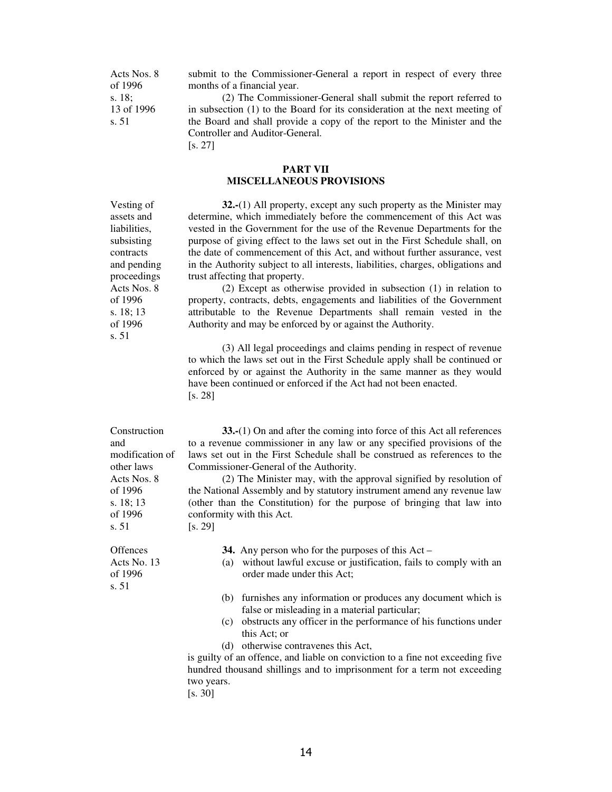Acts Nos. 8 of 1996 s. 18; 13 of 1996 s. 51

submit to the Commissioner-General a report in respect of every three months of a financial year.

 (2) The Commissioner-General shall submit the report referred to in subsection (1) to the Board for its consideration at the next meeting of the Board and shall provide a copy of the report to the Minister and the Controller and Auditor-General. [s. 27]

#### **PART VII MISCELLANEOUS PROVISIONS**

**32.-**(1) All property, except any such property as the Minister may determine, which immediately before the commencement of this Act was vested in the Government for the use of the Revenue Departments for the purpose of giving effect to the laws set out in the First Schedule shall, on the date of commencement of this Act, and without further assurance, vest in the Authority subject to all interests, liabilities, charges, obligations and trust affecting that property.

 (2) Except as otherwise provided in subsection (1) in relation to property, contracts, debts, engagements and liabilities of the Government attributable to the Revenue Departments shall remain vested in the Authority and may be enforced by or against the Authority.

 (3) All legal proceedings and claims pending in respect of revenue to which the laws set out in the First Schedule apply shall be continued or enforced by or against the Authority in the same manner as they would have been continued or enforced if the Act had not been enacted. [s. 28]

| Construction                    | 33.-(1) On and after the coming into force of this Act all references                                |
|---------------------------------|------------------------------------------------------------------------------------------------------|
| and                             | to a revenue commissioner in any law or any specified provisions of the                              |
| modification of                 | laws set out in the First Schedule shall be construed as references to the                           |
| other laws                      | Commissioner-General of the Authority.                                                               |
| Acts Nos. 8                     | (2) The Minister may, with the approval signified by resolution of                                   |
| of 1996                         | the National Assembly and by statutory instrument amend any revenue law                              |
| s. $18; 13$                     | (other than the Constitution) for the purpose of bringing that law into                              |
| of 1996                         | conformity with this Act.                                                                            |
| s. 51                           | [s. 29]                                                                                              |
| <b>Offences</b>                 | 34. Any person who for the purposes of this $Act-$                                                   |
| Acts No. 13<br>of 1996<br>s. 51 | without lawful excuse or justification, fails to comply with an<br>(a)<br>order made under this Act; |
|                                 | (b) furnishes any information or produces any document which is                                      |
|                                 | false or misleading in a material particular;                                                        |
|                                 | (c) obstructs any officer in the performance of his functions under                                  |
|                                 | this Act; or                                                                                         |
|                                 | (d) otherwise contravenes this Act,                                                                  |
|                                 | is guilty of an offence, and liable on conviction to a fine not exceeding five                       |
|                                 | hundred thousand shillings and to imprisonment for a term not exceeding                              |
|                                 | two years.                                                                                           |
|                                 | [s. 30]                                                                                              |

assets and liabilities, subsisting contracts and pending proceedings Acts Nos. 8 of 1996 s. 18; 13 of 1996 s. 51

Vesting of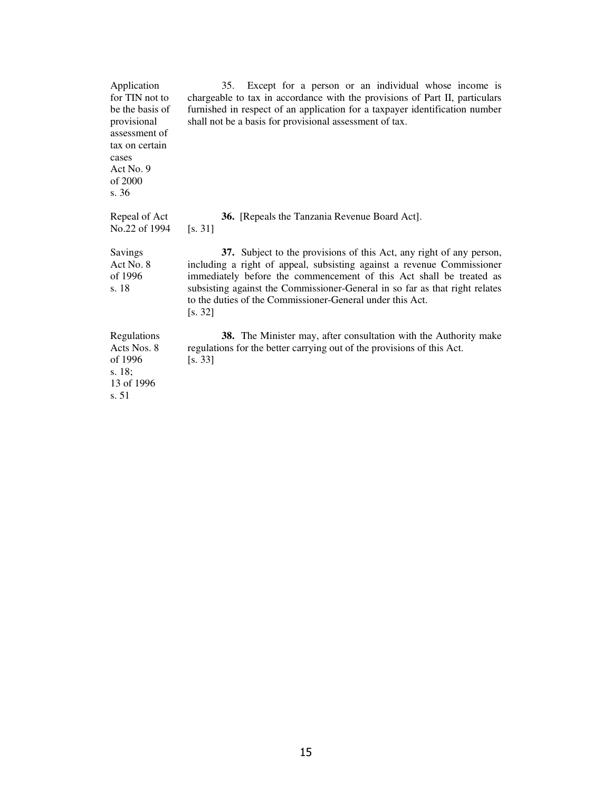| Application<br>for TIN not to<br>be the basis of<br>provisional<br>assessment of<br>tax on certain<br>cases<br>Act No. $9$<br>of 2000<br>s. 36 | Except for a person or an individual whose income is<br>35.<br>chargeable to tax in accordance with the provisions of Part II, particulars<br>furnished in respect of an application for a taxpayer identification number<br>shall not be a basis for provisional assessment of tax.                                                                                        |
|------------------------------------------------------------------------------------------------------------------------------------------------|-----------------------------------------------------------------------------------------------------------------------------------------------------------------------------------------------------------------------------------------------------------------------------------------------------------------------------------------------------------------------------|
| Repeal of Act<br>No.22 of 1994                                                                                                                 | 36. [Repeals the Tanzania Revenue Board Act].<br>[s. 31]                                                                                                                                                                                                                                                                                                                    |
| Savings<br>Act No. 8<br>of 1996<br>s. 18                                                                                                       | 37. Subject to the provisions of this Act, any right of any person,<br>including a right of appeal, subsisting against a revenue Commissioner<br>immediately before the commencement of this Act shall be treated as<br>subsisting against the Commissioner-General in so far as that right relates<br>to the duties of the Commissioner-General under this Act.<br>[s. 32] |
| Regulations<br>Acts Nos. 8<br>of 1996<br>s. 18;<br>13 of 1996<br>s. 51                                                                         | 38. The Minister may, after consultation with the Authority make<br>regulations for the better carrying out of the provisions of this Act.<br>[s. 33]                                                                                                                                                                                                                       |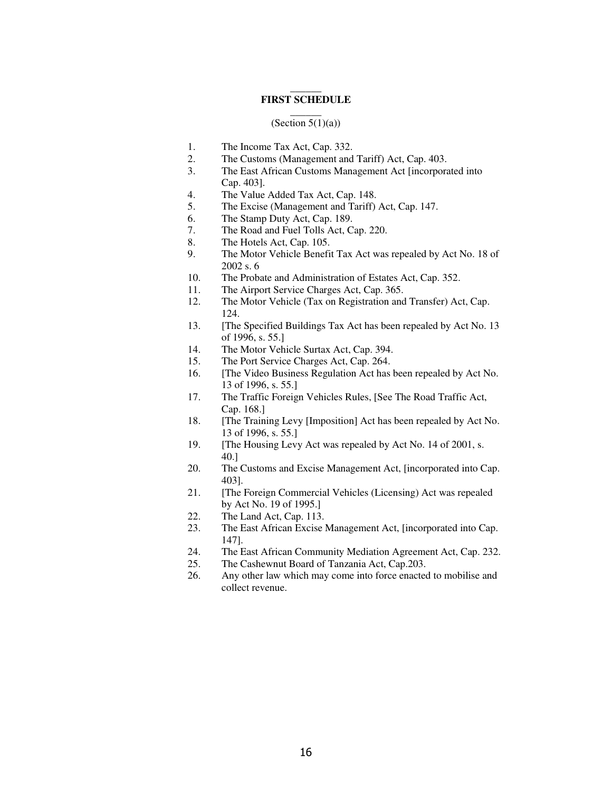#### $\overline{\phantom{a}}$ **FIRST SCHEDULE**

#### $\overline{\phantom{a}}$ (Section  $5(1)(a)$ )

- 1. The Income Tax Act, Cap. 332.
- 2. The Customs (Management and Tariff) Act, Cap. 403.
- 3. The East African Customs Management Act [incorporated into Cap. 403].
- 4. The Value Added Tax Act, Cap. 148.
- 5. The Excise (Management and Tariff) Act, Cap. 147.
- 6. The Stamp Duty Act, Cap. 189.
- 7. The Road and Fuel Tolls Act, Cap. 220.
- 8. The Hotels Act, Cap. 105.
- 9. The Motor Vehicle Benefit Tax Act was repealed by Act No. 18 of 2002 s. 6
- 10. The Probate and Administration of Estates Act, Cap. 352.
- 11. The Airport Service Charges Act, Cap. 365.
- 12. The Motor Vehicle (Tax on Registration and Transfer) Act, Cap. 124.
- 13. [The Specified Buildings Tax Act has been repealed by Act No. 13 of 1996, s. 55.]
- 14. The Motor Vehicle Surtax Act, Cap. 394.
- 15. The Port Service Charges Act, Cap. 264.
- 16. [The Video Business Regulation Act has been repealed by Act No. 13 of 1996, s. 55.]
- 17. The Traffic Foreign Vehicles Rules, [See The Road Traffic Act, Cap. 168.]
- 18. [The Training Levy [Imposition] Act has been repealed by Act No. 13 of 1996, s. 55.]
- 19. [The Housing Levy Act was repealed by Act No. 14 of 2001, s. 40.]
- 20. The Customs and Excise Management Act, [incorporated into Cap. 403].
- 21. [The Foreign Commercial Vehicles (Licensing) Act was repealed by Act No. 19 of 1995.]
- 22. The Land Act, Cap. 113.
- 23. The East African Excise Management Act, [incorporated into Cap. 147].
- 24. The East African Community Mediation Agreement Act, Cap. 232.
- 25. The Cashewnut Board of Tanzania Act, Cap.203.
- 26. Any other law which may come into force enacted to mobilise and collect revenue.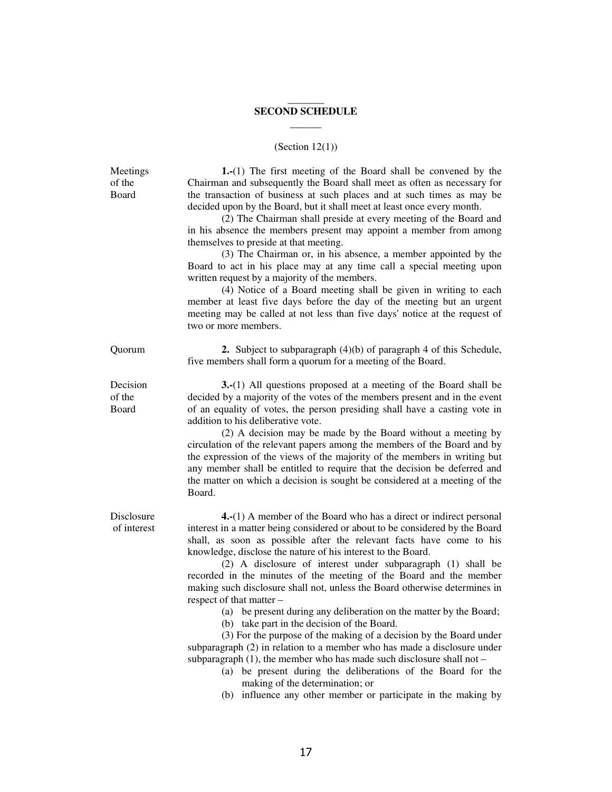### \_\_\_\_\_\_\_ **SECOND SCHEDULE \_\_\_\_\_\_**

# (Section 12(1))

| Meetings<br>of the<br>Board | $1-(1)$ The first meeting of the Board shall be convened by the<br>Chairman and subsequently the Board shall meet as often as necessary for<br>the transaction of business at such places and at such times as may be<br>decided upon by the Board, but it shall meet at least once every month.<br>(2) The Chairman shall preside at every meeting of the Board and<br>in his absence the members present may appoint a member from among<br>themselves to preside at that meeting.<br>(3) The Chairman or, in his absence, a member appointed by the<br>Board to act in his place may at any time call a special meeting upon<br>written request by a majority of the members.<br>(4) Notice of a Board meeting shall be given in writing to each<br>member at least five days before the day of the meeting but an urgent<br>meeting may be called at not less than five days' notice at the request of<br>two or more members.                                                                                                                                          |
|-----------------------------|-----------------------------------------------------------------------------------------------------------------------------------------------------------------------------------------------------------------------------------------------------------------------------------------------------------------------------------------------------------------------------------------------------------------------------------------------------------------------------------------------------------------------------------------------------------------------------------------------------------------------------------------------------------------------------------------------------------------------------------------------------------------------------------------------------------------------------------------------------------------------------------------------------------------------------------------------------------------------------------------------------------------------------------------------------------------------------|
| Quorum                      | 2. Subject to subparagraph $(4)(b)$ of paragraph 4 of this Schedule,<br>five members shall form a quorum for a meeting of the Board.                                                                                                                                                                                                                                                                                                                                                                                                                                                                                                                                                                                                                                                                                                                                                                                                                                                                                                                                        |
| Decision<br>of the<br>Board | <b>3.</b> (1) All questions proposed at a meeting of the Board shall be<br>decided by a majority of the votes of the members present and in the event<br>of an equality of votes, the person presiding shall have a casting vote in<br>addition to his deliberative vote.<br>(2) A decision may be made by the Board without a meeting by<br>circulation of the relevant papers among the members of the Board and by<br>the expression of the views of the majority of the members in writing but<br>any member shall be entitled to require that the decision be deferred and<br>the matter on which a decision is sought be considered at a meeting of the<br>Board.                                                                                                                                                                                                                                                                                                                                                                                                     |
| Disclosure<br>of interest   | <b>4.</b> $(1)$ A member of the Board who has a direct or indirect personal<br>interest in a matter being considered or about to be considered by the Board<br>shall, as soon as possible after the relevant facts have come to his<br>knowledge, disclose the nature of his interest to the Board.<br>(2) A disclosure of interest under subparagraph (1) shall be<br>recorded in the minutes of the meeting of the Board and the member<br>making such disclosure shall not, unless the Board otherwise determines in<br>respect of that matter –<br>(a) be present during any deliberation on the matter by the Board;<br>(b) take part in the decision of the Board.<br>(3) For the purpose of the making of a decision by the Board under<br>subparagraph (2) in relation to a member who has made a disclosure under<br>subparagraph $(1)$ , the member who has made such disclosure shall not -<br>(a) be present during the deliberations of the Board for the<br>making of the determination; or<br>(b) influence any other member or participate in the making by |